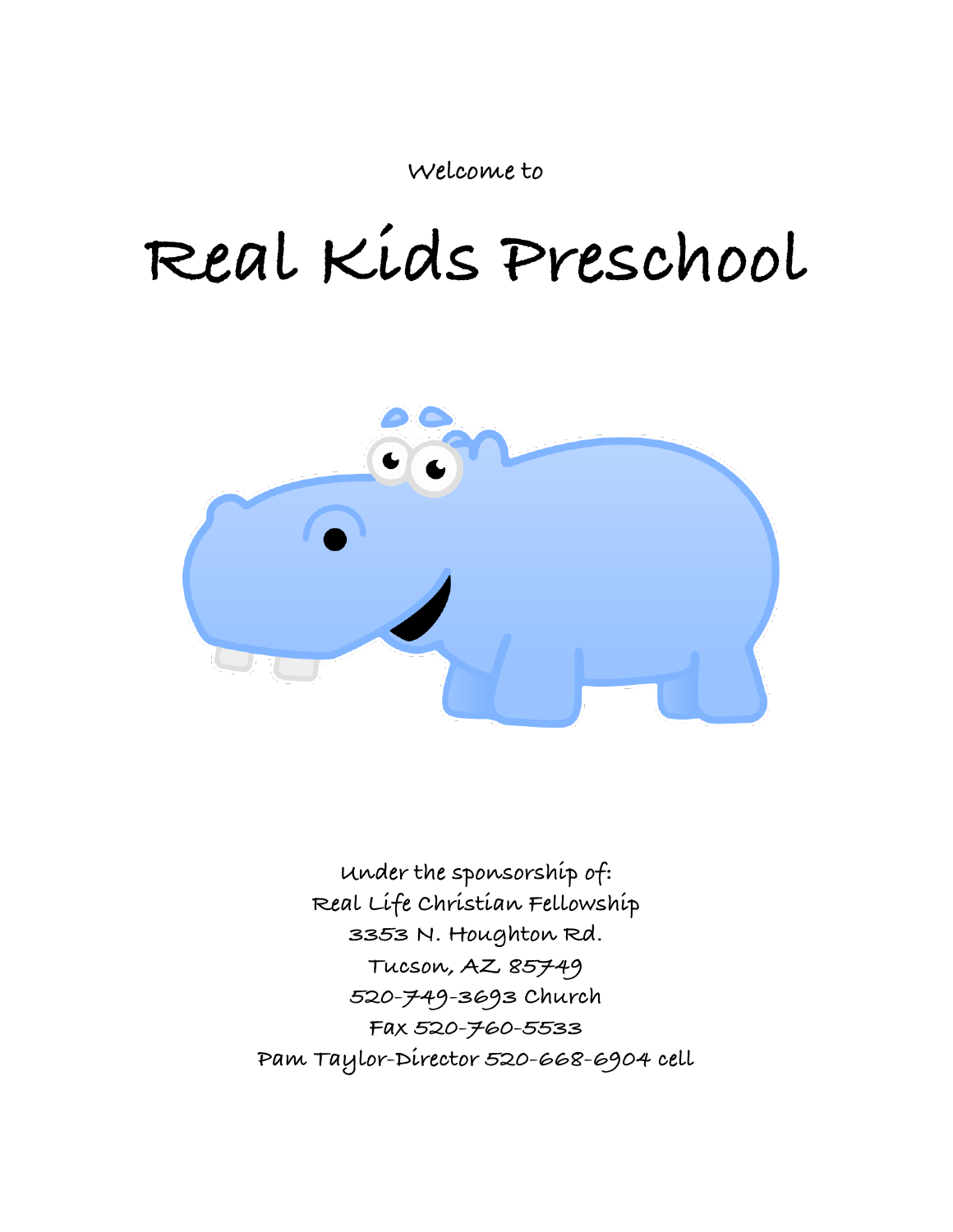**Welcome to**

# **Real Kids Preschool**



**Under the sponsorship of: Real Life Christian Fellowship 3353 N. Houghton Rd. Tucson, AZ 85749 520-749-3693 Church Fax 520-760-5533 Pam Taylor-Director 520-668-6904 cell**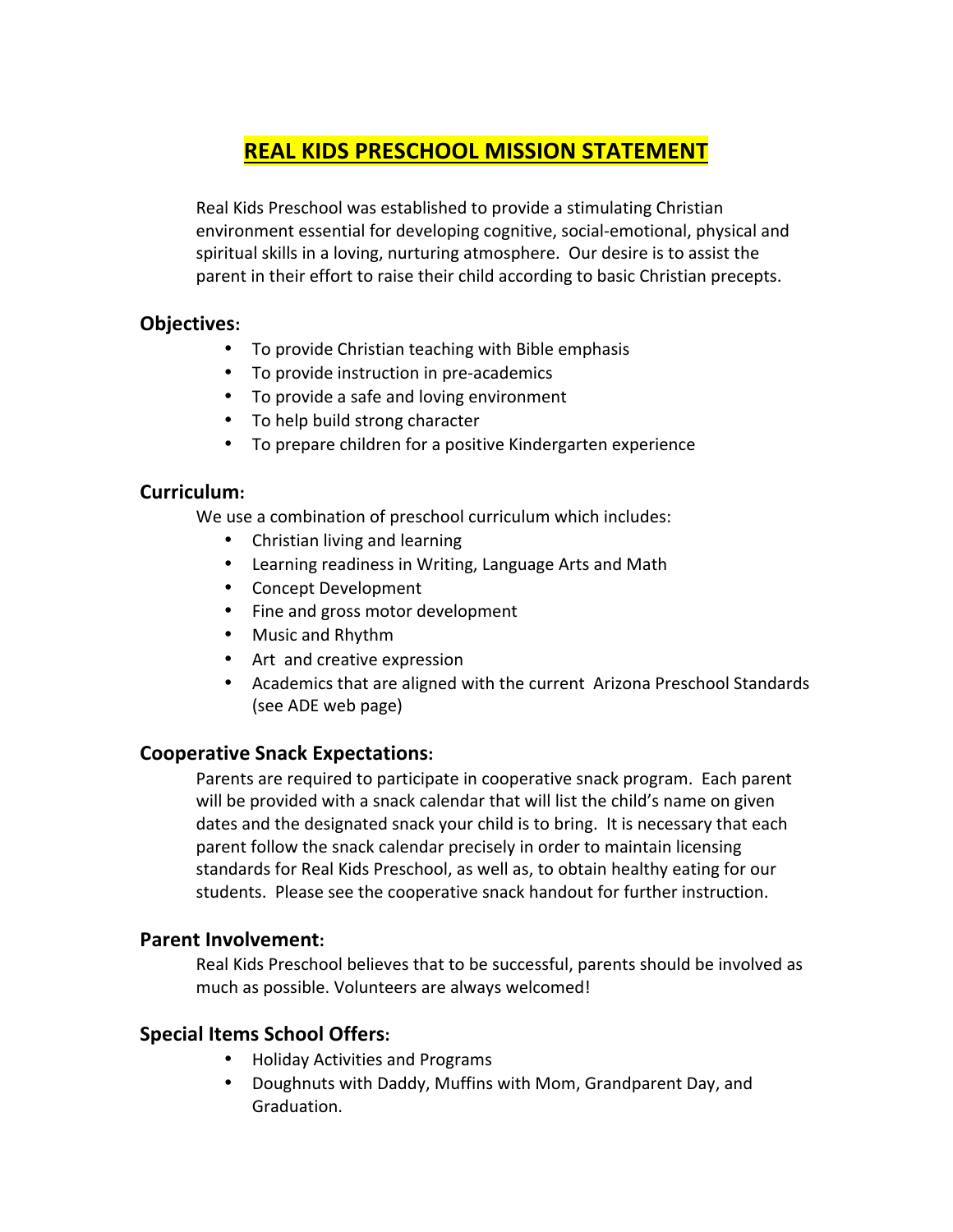## **REAL KIDS PRESCHOOL MISSION STATEMENT**

Real Kids Preschool was established to provide a stimulating Christian environment essential for developing cognitive, social-emotional, physical and spiritual skills in a loving, nurturing atmosphere. Our desire is to assist the parent in their effort to raise their child according to basic Christian precepts.

## **Objectives:**

- To provide Christian teaching with Bible emphasis
- To provide instruction in pre-academics
- To provide a safe and loving environment
- To help build strong character
- To prepare children for a positive Kindergarten experience

## **Curriculum:**

We use a combination of preschool curriculum which includes:

- Christian living and learning
- Learning readiness in Writing, Language Arts and Math
- Concept Development
- Fine and gross motor development
- Music and Rhythm
- Art and creative expression
- Academics that are aligned with the current Arizona Preschool Standards (see ADE web page)

## **Cooperative Snack Expectations:**

Parents are required to participate in cooperative snack program. Each parent will be provided with a snack calendar that will list the child's name on given dates and the designated snack your child is to bring. It is necessary that each parent follow the snack calendar precisely in order to maintain licensing standards for Real Kids Preschool, as well as, to obtain healthy eating for our students. Please see the cooperative snack handout for further instruction.

## **Parent Involvement:**

Real Kids Preschool believes that to be successful, parents should be involved as much as possible. Volunteers are always welcomed!

## **Special Items School Offers:**

- Holiday Activities and Programs
- Doughnuts with Daddy, Muffins with Mom, Grandparent Day, and Graduation.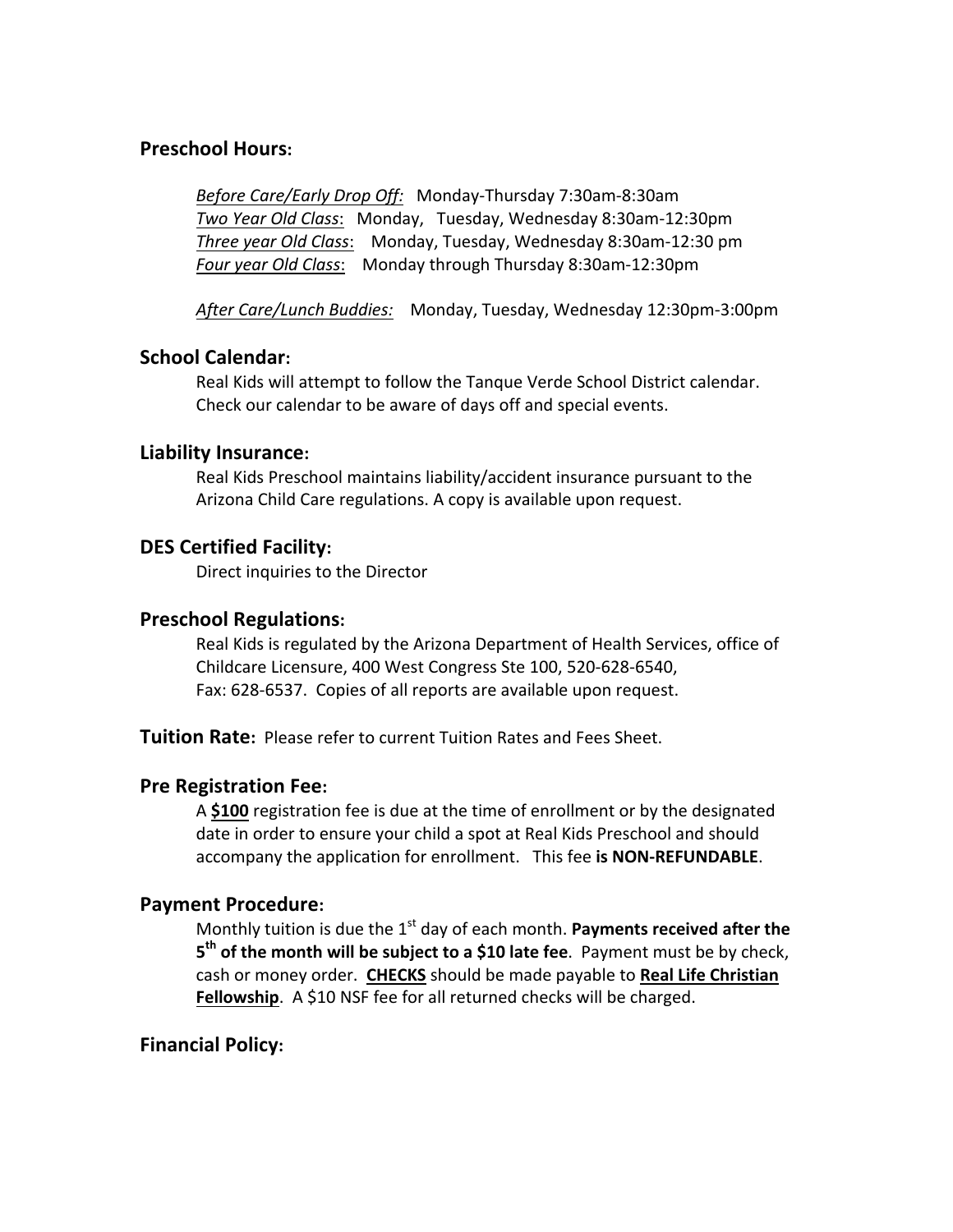## **Preschool Hours:**

*Before Care/Early Drop Off: Monday-Thursday 7:30am-8:30am Two Year Old Class*: Monday, Tuesday, Wednesday 8:30am-12:30pm *Three year Old Class*: Monday, Tuesday, Wednesday 8:30am-12:30 pm Four year Old Class: Monday through Thursday 8:30am-12:30pm

After Care/Lunch Buddies: Monday, Tuesday, Wednesday 12:30pm-3:00pm

#### **School Calendar:**

Real Kids will attempt to follow the Tanque Verde School District calendar. Check our calendar to be aware of days off and special events.

#### **Liability Insurance:**

Real Kids Preschool maintains liability/accident insurance pursuant to the Arizona Child Care regulations. A copy is available upon request.

#### **DES Certified Facility:**

Direct inquiries to the Director

#### **Preschool Regulations:**

Real Kids is regulated by the Arizona Department of Health Services, office of Childcare Licensure, 400 West Congress Ste 100, 520-628-6540, Fax: 628-6537. Copies of all reports are available upon request.

**Tuition Rate:** Please refer to current Tuition Rates and Fees Sheet.

#### **Pre Registration Fee:**

A \$100 registration fee is due at the time of enrollment or by the designated date in order to ensure your child a spot at Real Kids Preschool and should accompany the application for enrollment. This fee is **NON-REFUNDABLE**.

#### **Payment Procedure:**

Monthly tuition is due the 1<sup>st</sup> day of each month. Payments received after the 5<sup>th</sup> of the month will be subject to a \$10 late fee. Payment must be by check, cash or money order. CHECKS should be made payable to Real Life Christian **Fellowship**. A \$10 NSF fee for all returned checks will be charged.

#### **Financial Policy:**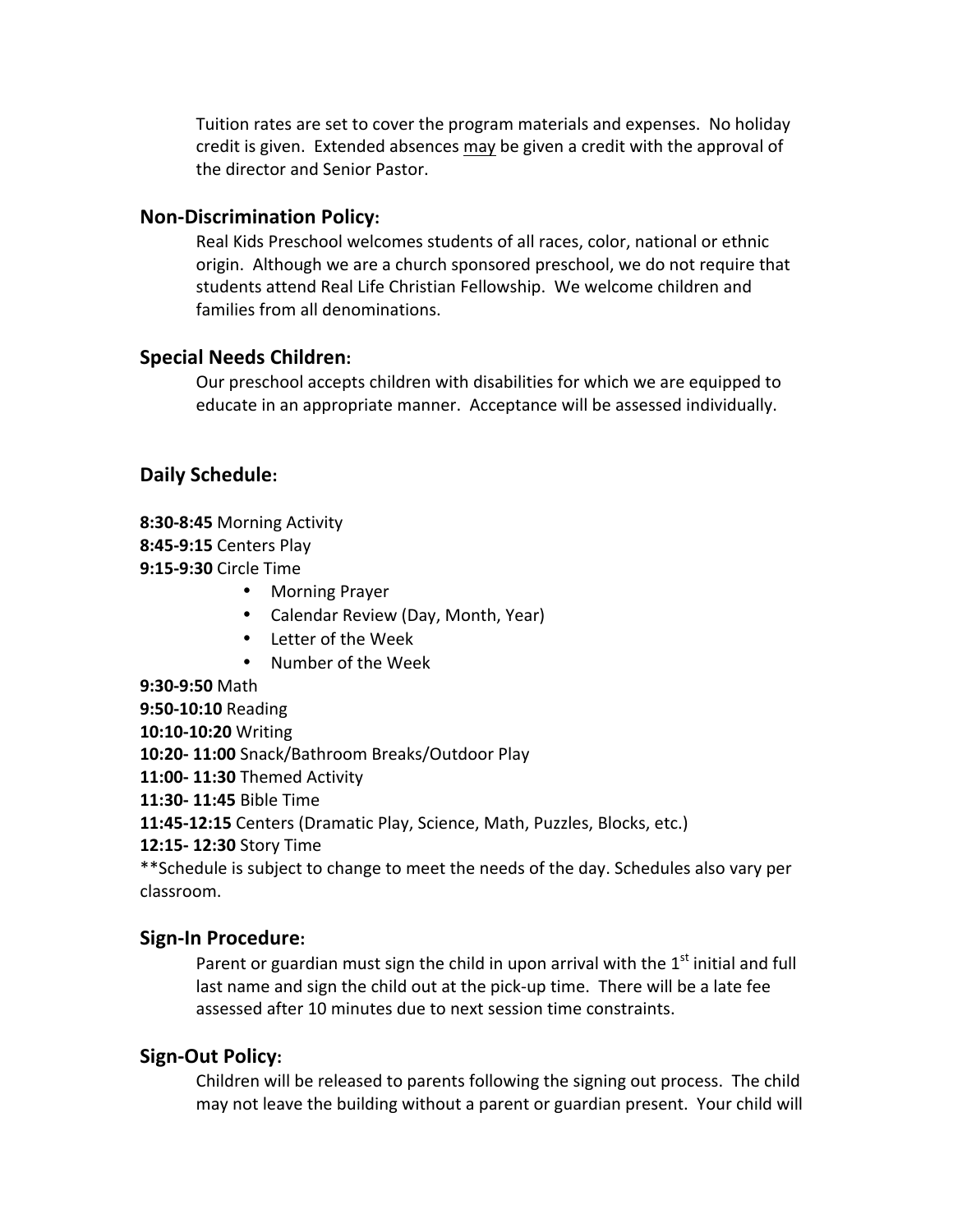Tuition rates are set to cover the program materials and expenses. No holiday credit is given. Extended absences may be given a credit with the approval of the director and Senior Pastor.

#### **Non-Discrimination Policy:**

Real Kids Preschool welcomes students of all races, color, national or ethnic origin. Although we are a church sponsored preschool, we do not require that students attend Real Life Christian Fellowship. We welcome children and families from all denominations.

#### **Special Needs Children:**

Our preschool accepts children with disabilities for which we are equipped to educate in an appropriate manner. Acceptance will be assessed individually.

## **Daily Schedule:**

- **8:30-8:45** Morning Activity
- **8:45-9:15** Centers Play
- **9:15-9:30** Circle Time
	- Morning Prayer
	- Calendar Review (Day, Month, Year)
	- Letter of the Week
	- Number of the Week
- **9:30-9:50** Math

**9:50-10:10** Reading

**10:10-10:20** Writing

**10:20- 11:00** Snack/Bathroom Breaks/Outdoor Play

**11:00- 11:30** Themed Activity

**11:30- 11:45** Bible Time

**11:45-12:15** Centers (Dramatic Play, Science, Math, Puzzles, Blocks, etc.)

**12:15- 12:30** Story Time

\*\*Schedule is subject to change to meet the needs of the day. Schedules also vary per classroom.

## **Sign-In Procedure:**

Parent or guardian must sign the child in upon arrival with the  $1<sup>st</sup>$  initial and full last name and sign the child out at the pick-up time. There will be a late fee assessed after 10 minutes due to next session time constraints.

#### **Sign-Out Policy:**

Children will be released to parents following the signing out process. The child may not leave the building without a parent or guardian present. Your child will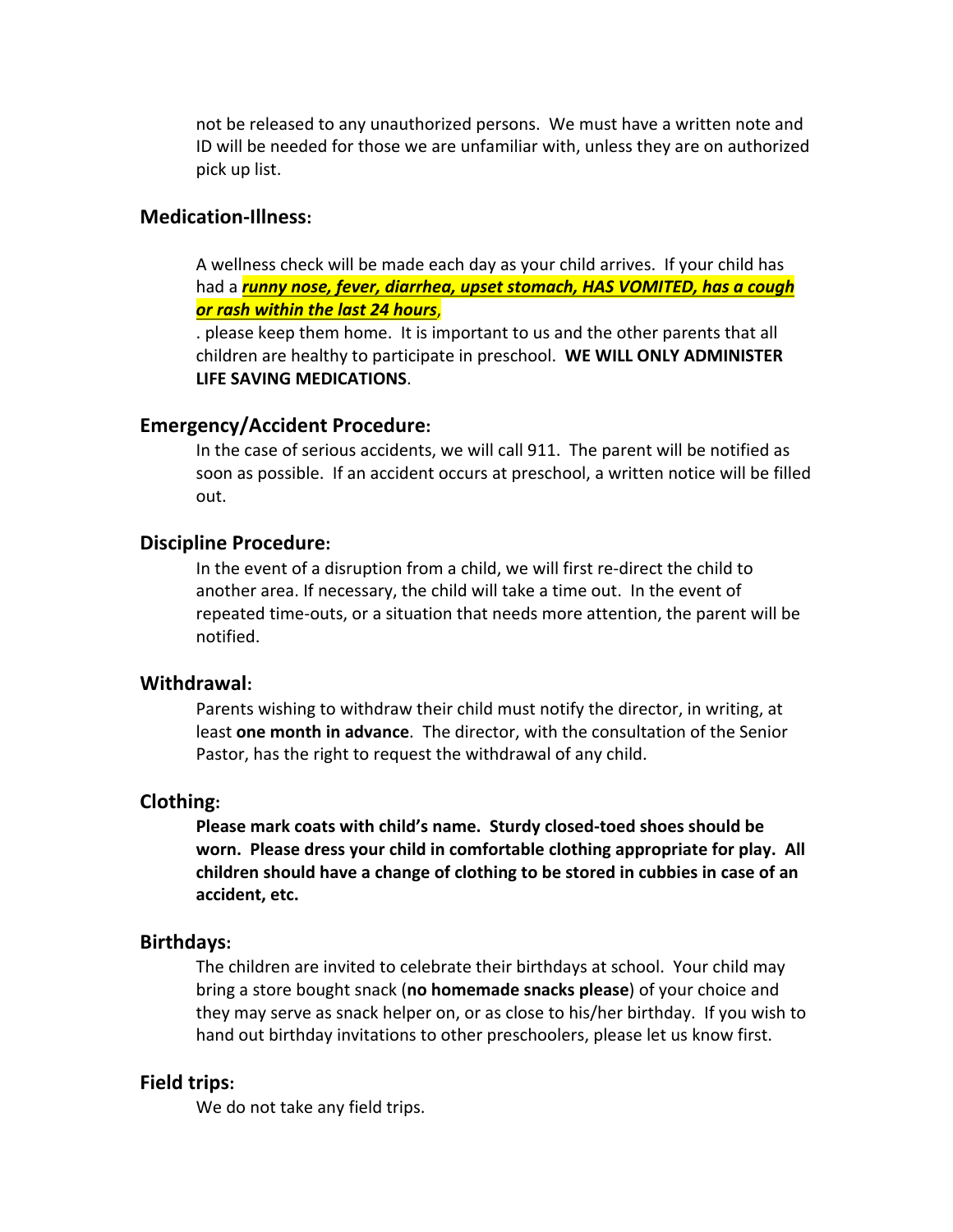not be released to any unauthorized persons. We must have a written note and ID will be needed for those we are unfamiliar with, unless they are on authorized pick up list.

#### **Medication-Illness:**

A wellness check will be made each day as your child arrives. If your child has had a *runny nose, fever, diarrhea, upset stomach, HAS VOMITED, has a cough or rash within the last 24 hours*,

. please keep them home. It is important to us and the other parents that all children are healthy to participate in preschool. WE WILL ONLY ADMINISTER **LIFE SAVING MEDICATIONS.** 

#### **Emergency/Accident Procedure:**

In the case of serious accidents, we will call 911. The parent will be notified as soon as possible. If an accident occurs at preschool, a written notice will be filled out. 

#### **Discipline Procedure:**

In the event of a disruption from a child, we will first re-direct the child to another area. If necessary, the child will take a time out. In the event of repeated time-outs, or a situation that needs more attention, the parent will be notified. 

#### **Withdrawal:**

Parents wishing to withdraw their child must notify the director, in writing, at least **one month in advance**. The director, with the consultation of the Senior Pastor, has the right to request the withdrawal of any child.

#### **Clothing:**

**Please mark coats with child's name. Sturdy closed-toed shoes should be** worn. Please dress your child in comfortable clothing appropriate for play. All children should have a change of clothing to be stored in cubbies in case of an **accident, etc.** 

#### **Birthdays:**

The children are invited to celebrate their birthdays at school. Your child may bring a store bought snack (**no homemade snacks please**) of your choice and they may serve as snack helper on, or as close to his/her birthday. If you wish to hand out birthday invitations to other preschoolers, please let us know first.

#### **Field trips:**

We do not take any field trips.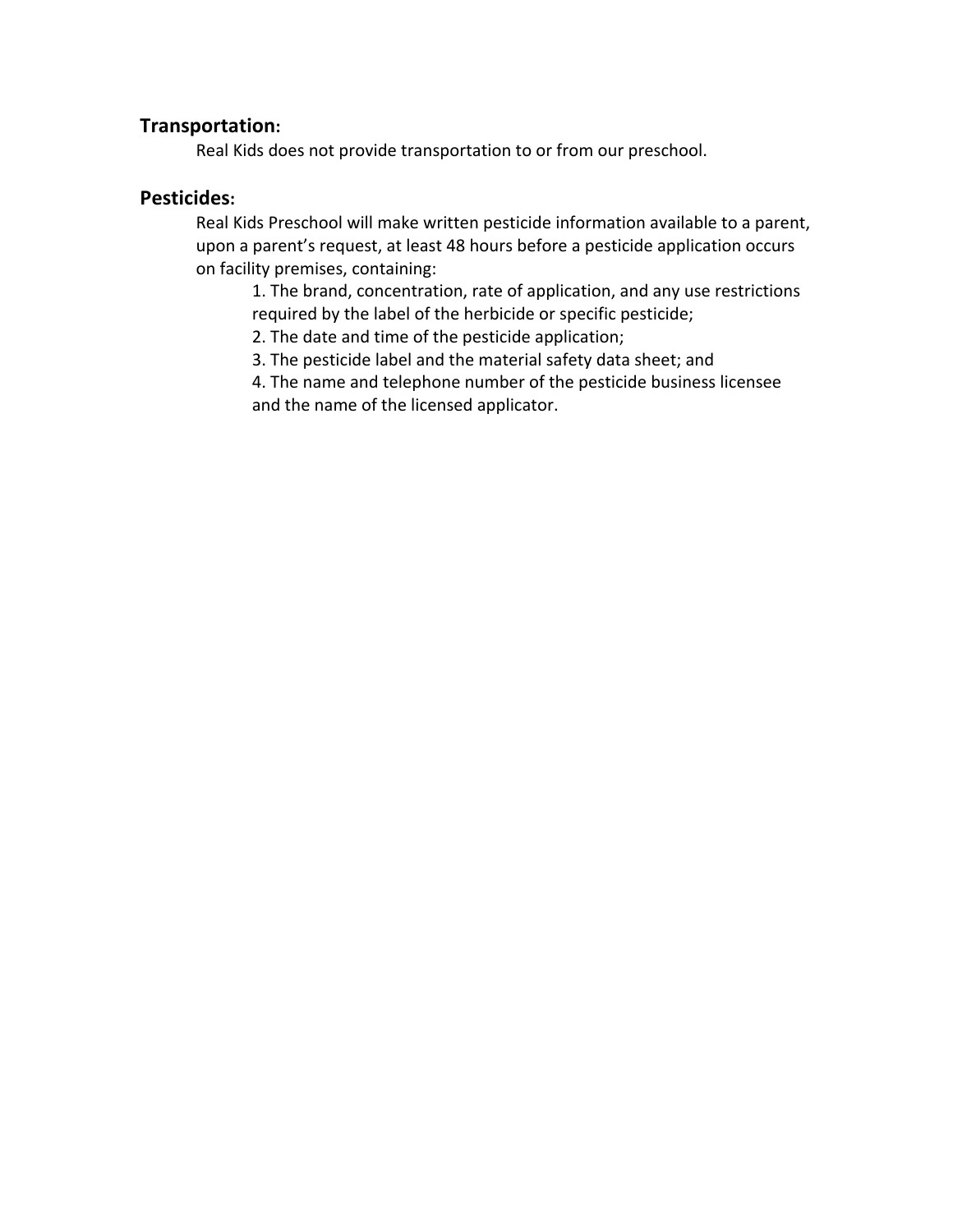#### **Transportation:**

Real Kids does not provide transportation to or from our preschool.

#### **Pesticides:**

Real Kids Preschool will make written pesticide information available to a parent, upon a parent's request, at least 48 hours before a pesticide application occurs on facility premises, containing:

1. The brand, concentration, rate of application, and any use restrictions required by the label of the herbicide or specific pesticide;

2. The date and time of the pesticide application;

3. The pesticide label and the material safety data sheet; and

4. The name and telephone number of the pesticide business licensee and the name of the licensed applicator.